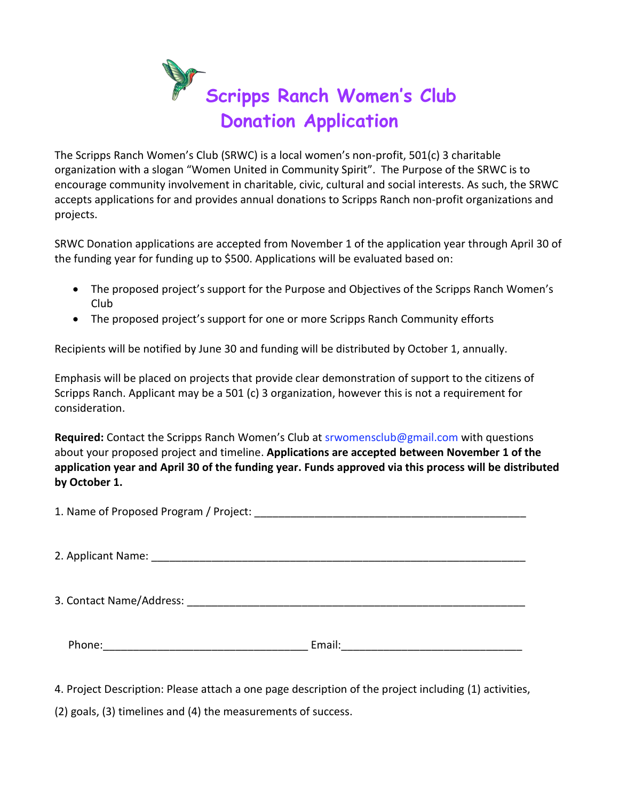

The Scripps Ranch Women's Club (SRWC) is a local women's non-profit, 501(c) 3 charitable organization with a slogan "Women United in Community Spirit". The Purpose of the SRWC is to encourage community involvement in charitable, civic, cultural and social interests. As such, the SRWC accepts applications for and provides annual donations to Scripps Ranch non-profit organizations and projects.

SRWC Donation applications are accepted from November 1 of the application year through April 30 of the funding year for funding up to \$500. Applications will be evaluated based on:

- The proposed project's support for the Purpose and Objectives of the Scripps Ranch Women's Club
- The proposed project's support for one or more Scripps Ranch Community efforts

Recipients will be notified by June 30 and funding will be distributed by October 1, annually.

Emphasis will be placed on projects that provide clear demonstration of support to the citizens of Scripps Ranch. Applicant may be a 501 (c) 3 organization, however this is not a requirement for consideration.

**Required:** Contact the Scripps Ranch Women's Club at srwomensclub@gmail.com with questions about your proposed project and timeline. **Applications are accepted between November 1 of the application year and April 30 of the funding year. Funds approved via this process will be distributed by October 1.**

1. Name of Proposed Program / Project: \_\_\_\_\_\_\_\_\_\_\_\_\_\_\_\_\_\_\_\_\_\_\_\_\_\_\_\_\_\_\_\_\_\_\_\_\_\_\_\_\_\_\_\_\_

2. Applicant Name:  $\overline{a}$ 

3. Contact Name/Address: \_\_\_\_\_\_\_\_\_\_\_\_\_\_\_\_\_\_\_\_\_\_\_\_\_\_\_\_\_\_\_\_\_\_\_\_\_\_\_\_\_\_\_\_\_\_\_\_\_\_\_\_\_\_\_\_

Phone: The contract of the contract of the Email:  $E$  and  $E$  and  $E$  and  $E$  and  $E$  and  $E$  and  $E$  and  $E$  and  $E$  and  $E$  and  $E$  and  $E$  and  $E$  and  $E$  and  $E$  and  $E$  and  $E$  and  $E$  and  $E$  and  $E$  and  $E$  and  $E$ 

4. Project Description: Please attach a one page description of the project including (1) activities,

(2) goals, (3) timelines and (4) the measurements of success.